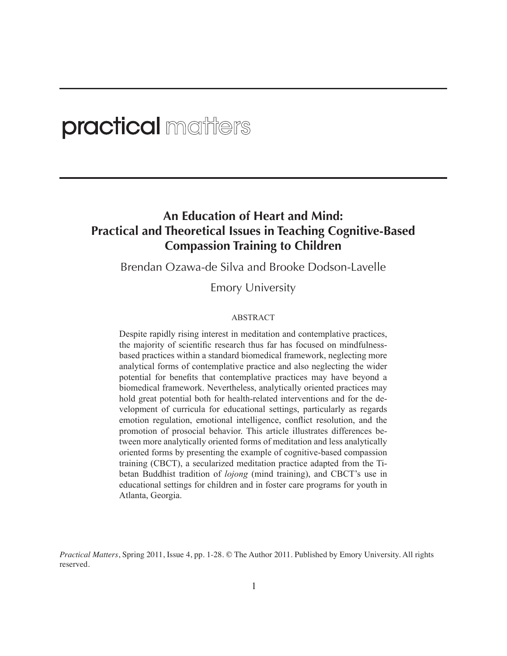# **practical** matters

# **An Education of Heart and Mind: Practical and Theoretical Issues in Teaching Cognitive-Based Compassion Training to Children**

Brendan Ozawa-de Silva and Brooke Dodson-Lavelle

Emory University

#### ABSTRACT

Despite rapidly rising interest in meditation and contemplative practices, the majority of scientific research thus far has focused on mindfulnessbased practices within a standard biomedical framework, neglecting more analytical forms of contemplative practice and also neglecting the wider potential for benefits that contemplative practices may have beyond a biomedical framework. Nevertheless, analytically oriented practices may hold great potential both for health-related interventions and for the development of curricula for educational settings, particularly as regards emotion regulation, emotional intelligence, conflict resolution, and the promotion of prosocial behavior. This article illustrates differences between more analytically oriented forms of meditation and less analytically oriented forms by presenting the example of cognitive-based compassion training (CBCT), a secularized meditation practice adapted from the Tibetan Buddhist tradition of *lojong* (mind training), and CBCT's use in educational settings for children and in foster care programs for youth in Atlanta, Georgia.

*Practical Matters*, Spring 2011, Issue 4, pp. 1-28. © The Author 2011. Published by Emory University. All rights reserved.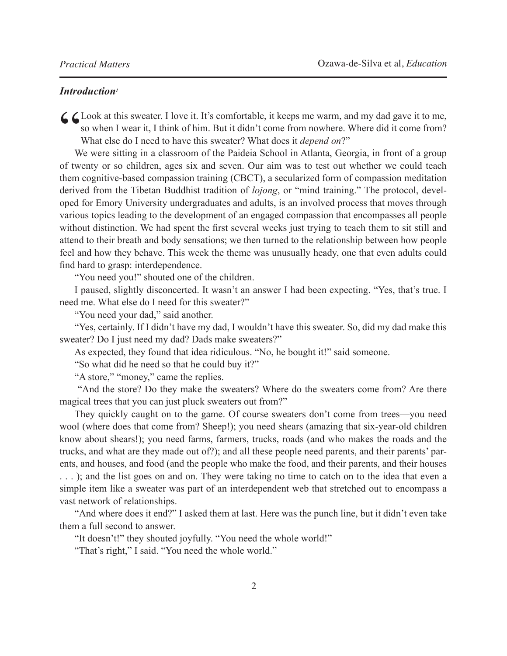## *Introduction1*

C Look at this sweater. I love it. It's comfortable, it keeps me warm, and my dad gave it to me,<br>so when I wear it, I think of him. But it didn't come from nowhere. Where did it come from?<br>What else do I need to have this so when I wear it, I think of him. But it didn't come from nowhere. Where did it come from? What else do I need to have this sweater? What does it *depend on*?"

We were sitting in a classroom of the Paideia School in Atlanta, Georgia, in front of a group of twenty or so children, ages six and seven. Our aim was to test out whether we could teach them cognitive-based compassion training (CBCT), a secularized form of compassion meditation derived from the Tibetan Buddhist tradition of *lojong*, or "mind training." The protocol, developed for Emory University undergraduates and adults, is an involved process that moves through various topics leading to the development of an engaged compassion that encompasses all people without distinction. We had spent the first several weeks just trying to teach them to sit still and attend to their breath and body sensations; we then turned to the relationship between how people feel and how they behave. This week the theme was unusually heady, one that even adults could find hard to grasp: interdependence.

"You need you!" shouted one of the children.

I paused, slightly disconcerted. It wasn't an answer I had been expecting. "Yes, that's true. I need me. What else do I need for this sweater?"

"You need your dad," said another.

"Yes, certainly. If I didn't have my dad, I wouldn't have this sweater. So, did my dad make this sweater? Do I just need my dad? Dads make sweaters?"

As expected, they found that idea ridiculous. "No, he bought it!" said someone.

"So what did he need so that he could buy it?"

"A store," "money," came the replies.

 "And the store? Do they make the sweaters? Where do the sweaters come from? Are there magical trees that you can just pluck sweaters out from?"

They quickly caught on to the game. Of course sweaters don't come from trees—you need wool (where does that come from? Sheep!); you need shears (amazing that six-year-old children know about shears!); you need farms, farmers, trucks, roads (and who makes the roads and the trucks, and what are they made out of?); and all these people need parents, and their parents' parents, and houses, and food (and the people who make the food, and their parents, and their houses . . . ); and the list goes on and on. They were taking no time to catch on to the idea that even a simple item like a sweater was part of an interdependent web that stretched out to encompass a vast network of relationships.

"And where does it end?" I asked them at last. Here was the punch line, but it didn't even take them a full second to answer.

"It doesn't!" they shouted joyfully. "You need the whole world!"

"That's right," I said. "You need the whole world."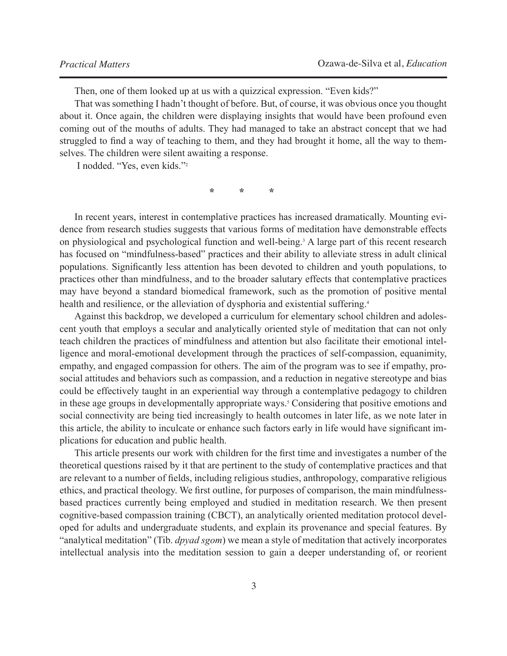Then, one of them looked up at us with a quizzical expression. "Even kids?"

That was something I hadn't thought of before. But, of course, it was obvious once you thought about it. Once again, the children were displaying insights that would have been profound even coming out of the mouths of adults. They had managed to take an abstract concept that we had struggled to find a way of teaching to them, and they had brought it home, all the way to themselves. The children were silent awaiting a response.

I nodded. "Yes, even kids."2

 $\mathcal{R}$  **\***  $\mathcal{R}$  **\***  $\mathcal{R}$ 

In recent years, interest in contemplative practices has increased dramatically. Mounting evidence from research studies suggests that various forms of meditation have demonstrable effects on physiological and psychological function and well-being.<sup>3</sup> A large part of this recent research has focused on "mindfulness-based" practices and their ability to alleviate stress in adult clinical populations. Significantly less attention has been devoted to children and youth populations, to practices other than mindfulness, and to the broader salutary effects that contemplative practices may have beyond a standard biomedical framework, such as the promotion of positive mental health and resilience, or the alleviation of dysphoria and existential suffering.<sup>4</sup>

Against this backdrop, we developed a curriculum for elementary school children and adolescent youth that employs a secular and analytically oriented style of meditation that can not only teach children the practices of mindfulness and attention but also facilitate their emotional intelligence and moral-emotional development through the practices of self-compassion, equanimity, empathy, and engaged compassion for others. The aim of the program was to see if empathy, prosocial attitudes and behaviors such as compassion, and a reduction in negative stereotype and bias could be effectively taught in an experiential way through a contemplative pedagogy to children in these age groups in developmentally appropriate ways.<sup>5</sup> Considering that positive emotions and social connectivity are being tied increasingly to health outcomes in later life, as we note later in this article, the ability to inculcate or enhance such factors early in life would have significant implications for education and public health.

This article presents our work with children for the first time and investigates a number of the theoretical questions raised by it that are pertinent to the study of contemplative practices and that are relevant to a number of fields, including religious studies, anthropology, comparative religious ethics, and practical theology. We first outline, for purposes of comparison, the main mindfulnessbased practices currently being employed and studied in meditation research. We then present cognitive-based compassion training (CBCT), an analytically oriented meditation protocol developed for adults and undergraduate students, and explain its provenance and special features. By "analytical meditation" (Tib. *dpyad sgom*) we mean a style of meditation that actively incorporates intellectual analysis into the meditation session to gain a deeper understanding of, or reorient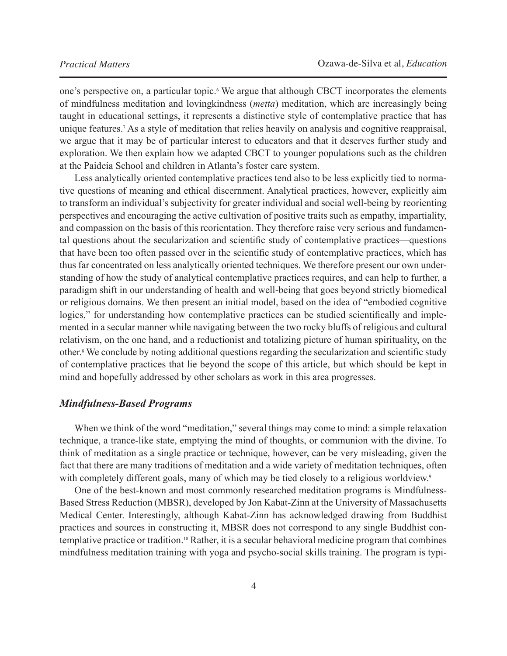one's perspective on, a particular topic.<sup>6</sup> We argue that although CBCT incorporates the elements of mindfulness meditation and lovingkindness (*metta*) meditation, which are increasingly being taught in educational settings, it represents a distinctive style of contemplative practice that has unique features.7 As a style of meditation that relies heavily on analysis and cognitive reappraisal, we argue that it may be of particular interest to educators and that it deserves further study and exploration. We then explain how we adapted CBCT to younger populations such as the children at the Paideia School and children in Atlanta's foster care system.

Less analytically oriented contemplative practices tend also to be less explicitly tied to normative questions of meaning and ethical discernment. Analytical practices, however, explicitly aim to transform an individual's subjectivity for greater individual and social well-being by reorienting perspectives and encouraging the active cultivation of positive traits such as empathy, impartiality, and compassion on the basis of this reorientation. They therefore raise very serious and fundamental questions about the secularization and scientific study of contemplative practices—questions that have been too often passed over in the scientific study of contemplative practices, which has thus far concentrated on less analytically oriented techniques. We therefore present our own understanding of how the study of analytical contemplative practices requires, and can help to further, a paradigm shift in our understanding of health and well-being that goes beyond strictly biomedical or religious domains. We then present an initial model, based on the idea of "embodied cognitive logics," for understanding how contemplative practices can be studied scientifically and implemented in a secular manner while navigating between the two rocky bluffs of religious and cultural relativism, on the one hand, and a reductionist and totalizing picture of human spirituality, on the other.<sup>8</sup> We conclude by noting additional questions regarding the secularization and scientific study of contemplative practices that lie beyond the scope of this article, but which should be kept in mind and hopefully addressed by other scholars as work in this area progresses.

#### *Mindfulness-Based Programs*

When we think of the word "meditation," several things may come to mind: a simple relaxation technique, a trance-like state, emptying the mind of thoughts, or communion with the divine. To think of meditation as a single practice or technique, however, can be very misleading, given the fact that there are many traditions of meditation and a wide variety of meditation techniques, often with completely different goals, many of which may be tied closely to a religious worldview.<sup>9</sup>

One of the best-known and most commonly researched meditation programs is Mindfulness-Based Stress Reduction (MBSR), developed by Jon Kabat-Zinn at the University of Massachusetts Medical Center. Interestingly, although Kabat-Zinn has acknowledged drawing from Buddhist practices and sources in constructing it, MBSR does not correspond to any single Buddhist contemplative practice or tradition.10 Rather, it is a secular behavioral medicine program that combines mindfulness meditation training with yoga and psycho-social skills training. The program is typi-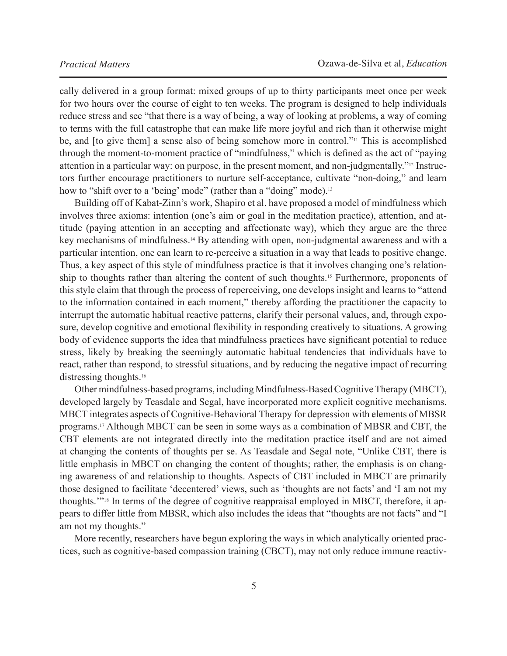cally delivered in a group format: mixed groups of up to thirty participants meet once per week for two hours over the course of eight to ten weeks. The program is designed to help individuals reduce stress and see "that there is a way of being, a way of looking at problems, a way of coming to terms with the full catastrophe that can make life more joyful and rich than it otherwise might be, and [to give them] a sense also of being somehow more in control."<sup>11</sup> This is accomplished through the moment-to-moment practice of "mindfulness," which is defined as the act of "paying attention in a particular way: on purpose, in the present moment, and non-judgmentally."12 Instructors further encourage practitioners to nurture self-acceptance, cultivate "non-doing," and learn how to "shift over to a 'being' mode" (rather than a "doing" mode).<sup>13</sup>

Building off of Kabat-Zinn's work, Shapiro et al. have proposed a model of mindfulness which involves three axioms: intention (one's aim or goal in the meditation practice), attention, and attitude (paying attention in an accepting and affectionate way), which they argue are the three key mechanisms of mindfulness.14 By attending with open, non-judgmental awareness and with a particular intention, one can learn to re-perceive a situation in a way that leads to positive change. Thus, a key aspect of this style of mindfulness practice is that it involves changing one's relationship to thoughts rather than altering the content of such thoughts.<sup>15</sup> Furthermore, proponents of this style claim that through the process of reperceiving, one develops insight and learns to "attend to the information contained in each moment," thereby affording the practitioner the capacity to interrupt the automatic habitual reactive patterns, clarify their personal values, and, through exposure, develop cognitive and emotional flexibility in responding creatively to situations. A growing body of evidence supports the idea that mindfulness practices have significant potential to reduce stress, likely by breaking the seemingly automatic habitual tendencies that individuals have to react, rather than respond, to stressful situations, and by reducing the negative impact of recurring distressing thoughts.<sup>16</sup>

Other mindfulness-based programs, including Mindfulness-Based Cognitive Therapy (MBCT), developed largely by Teasdale and Segal, have incorporated more explicit cognitive mechanisms. MBCT integrates aspects of Cognitive-Behavioral Therapy for depression with elements of MBSR programs.17 Although MBCT can be seen in some ways as a combination of MBSR and CBT, the CBT elements are not integrated directly into the meditation practice itself and are not aimed at changing the contents of thoughts per se. As Teasdale and Segal note, "Unlike CBT, there is little emphasis in MBCT on changing the content of thoughts; rather, the emphasis is on changing awareness of and relationship to thoughts. Aspects of CBT included in MBCT are primarily those designed to facilitate 'decentered' views, such as 'thoughts are not facts' and 'I am not my thoughts.'"18 In terms of the degree of cognitive reappraisal employed in MBCT, therefore, it appears to differ little from MBSR, which also includes the ideas that "thoughts are not facts" and "I am not my thoughts."

More recently, researchers have begun exploring the ways in which analytically oriented practices, such as cognitive-based compassion training (CBCT), may not only reduce immune reactiv-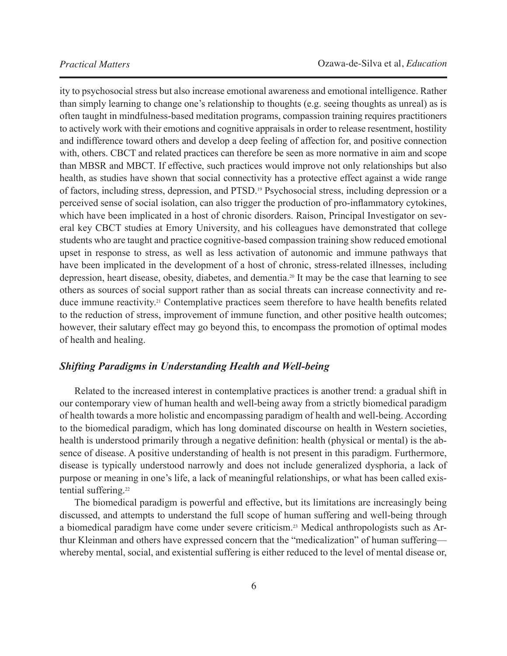ity to psychosocial stress but also increase emotional awareness and emotional intelligence. Rather than simply learning to change one's relationship to thoughts (e.g. seeing thoughts as unreal) as is often taught in mindfulness-based meditation programs, compassion training requires practitioners to actively work with their emotions and cognitive appraisals in order to release resentment, hostility and indifference toward others and develop a deep feeling of affection for, and positive connection with, others. CBCT and related practices can therefore be seen as more normative in aim and scope than MBSR and MBCT. If effective, such practices would improve not only relationships but also health, as studies have shown that social connectivity has a protective effect against a wide range of factors, including stress, depression, and PTSD.19 Psychosocial stress, including depression or a perceived sense of social isolation, can also trigger the production of pro-inflammatory cytokines, which have been implicated in a host of chronic disorders. Raison, Principal Investigator on several key CBCT studies at Emory University, and his colleagues have demonstrated that college students who are taught and practice cognitive-based compassion training show reduced emotional upset in response to stress, as well as less activation of autonomic and immune pathways that have been implicated in the development of a host of chronic, stress-related illnesses, including depression, heart disease, obesity, diabetes, and dementia.20 It may be the case that learning to see others as sources of social support rather than as social threats can increase connectivity and reduce immune reactivity.21 Contemplative practices seem therefore to have health benefits related to the reduction of stress, improvement of immune function, and other positive health outcomes; however, their salutary effect may go beyond this, to encompass the promotion of optimal modes of health and healing.

# *Shifting Paradigms in Understanding Health and Well-being*

Related to the increased interest in contemplative practices is another trend: a gradual shift in our contemporary view of human health and well-being away from a strictly biomedical paradigm of health towards a more holistic and encompassing paradigm of health and well-being. According to the biomedical paradigm, which has long dominated discourse on health in Western societies, health is understood primarily through a negative definition: health (physical or mental) is the absence of disease. A positive understanding of health is not present in this paradigm. Furthermore, disease is typically understood narrowly and does not include generalized dysphoria, a lack of purpose or meaning in one's life, a lack of meaningful relationships, or what has been called existential suffering.<sup>22</sup>

The biomedical paradigm is powerful and effective, but its limitations are increasingly being discussed, and attempts to understand the full scope of human suffering and well-being through a biomedical paradigm have come under severe criticism.23 Medical anthropologists such as Arthur Kleinman and others have expressed concern that the "medicalization" of human suffering whereby mental, social, and existential suffering is either reduced to the level of mental disease or,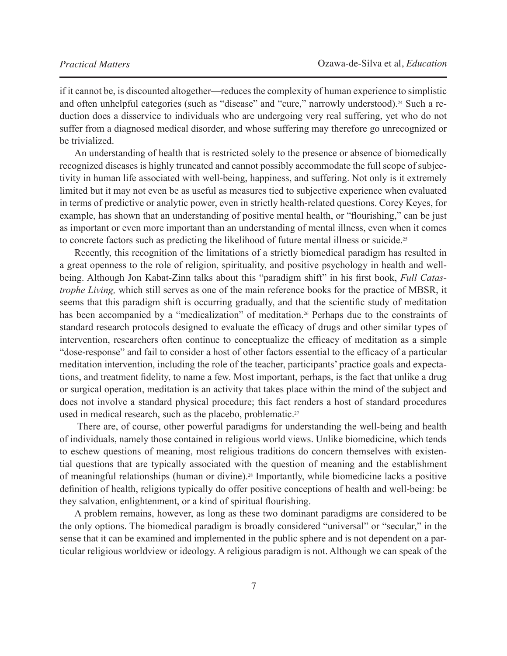if it cannot be, is discounted altogether—reduces the complexity of human experience to simplistic and often unhelpful categories (such as "disease" and "cure," narrowly understood).<sup>24</sup> Such a reduction does a disservice to individuals who are undergoing very real suffering, yet who do not suffer from a diagnosed medical disorder, and whose suffering may therefore go unrecognized or be trivialized.

An understanding of health that is restricted solely to the presence or absence of biomedically recognized diseases is highly truncated and cannot possibly accommodate the full scope of subjectivity in human life associated with well-being, happiness, and suffering. Not only is it extremely limited but it may not even be as useful as measures tied to subjective experience when evaluated in terms of predictive or analytic power, even in strictly health-related questions. Corey Keyes, for example, has shown that an understanding of positive mental health, or "flourishing," can be just as important or even more important than an understanding of mental illness, even when it comes to concrete factors such as predicting the likelihood of future mental illness or suicide.<sup>25</sup>

Recently, this recognition of the limitations of a strictly biomedical paradigm has resulted in a great openness to the role of religion, spirituality, and positive psychology in health and wellbeing. Although Jon Kabat-Zinn talks about this "paradigm shift" in his first book, *Full Catastrophe Living,* which still serves as one of the main reference books for the practice of MBSR, it seems that this paradigm shift is occurring gradually, and that the scientific study of meditation has been accompanied by a "medicalization" of meditation.<sup>26</sup> Perhaps due to the constraints of standard research protocols designed to evaluate the efficacy of drugs and other similar types of intervention, researchers often continue to conceptualize the efficacy of meditation as a simple "dose-response" and fail to consider a host of other factors essential to the efficacy of a particular meditation intervention, including the role of the teacher, participants' practice goals and expectations, and treatment fidelity, to name a few. Most important, perhaps, is the fact that unlike a drug or surgical operation, meditation is an activity that takes place within the mind of the subject and does not involve a standard physical procedure; this fact renders a host of standard procedures used in medical research, such as the placebo, problematic.<sup>27</sup>

 There are, of course, other powerful paradigms for understanding the well-being and health of individuals, namely those contained in religious world views. Unlike biomedicine, which tends to eschew questions of meaning, most religious traditions do concern themselves with existential questions that are typically associated with the question of meaning and the establishment of meaningful relationships (human or divine).28 Importantly, while biomedicine lacks a positive definition of health, religions typically do offer positive conceptions of health and well-being: be they salvation, enlightenment, or a kind of spiritual flourishing.

A problem remains, however, as long as these two dominant paradigms are considered to be the only options. The biomedical paradigm is broadly considered "universal" or "secular," in the sense that it can be examined and implemented in the public sphere and is not dependent on a particular religious worldview or ideology. A religious paradigm is not. Although we can speak of the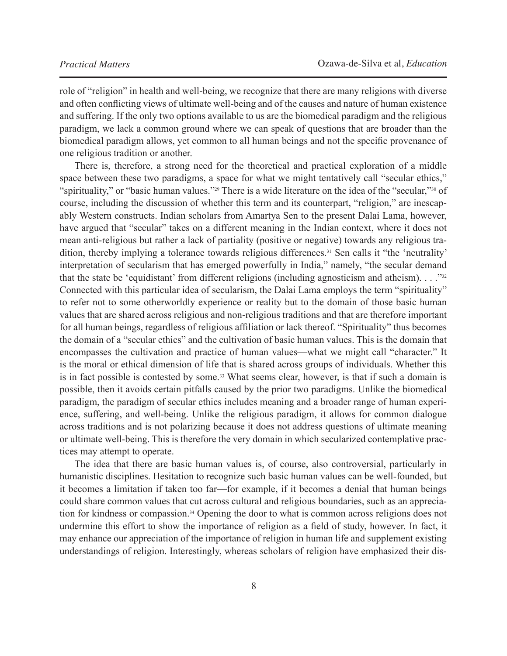role of "religion" in health and well-being, we recognize that there are many religions with diverse and often conflicting views of ultimate well-being and of the causes and nature of human existence and suffering. If the only two options available to us are the biomedical paradigm and the religious paradigm, we lack a common ground where we can speak of questions that are broader than the biomedical paradigm allows, yet common to all human beings and not the specific provenance of one religious tradition or another.

There is, therefore, a strong need for the theoretical and practical exploration of a middle space between these two paradigms, a space for what we might tentatively call "secular ethics," "spirituality," or "basic human values."<sup>29</sup> There is a wide literature on the idea of the "secular,"<sup>30</sup> of course, including the discussion of whether this term and its counterpart, "religion," are inescapably Western constructs. Indian scholars from Amartya Sen to the present Dalai Lama, however, have argued that "secular" takes on a different meaning in the Indian context, where it does not mean anti-religious but rather a lack of partiality (positive or negative) towards any religious tradition, thereby implying a tolerance towards religious differences.<sup>31</sup> Sen calls it "the 'neutrality' interpretation of secularism that has emerged powerfully in India," namely, "the secular demand that the state be 'equidistant' from different religions (including agnosticism and atheism).  $\ldots$ <sup>32</sup> Connected with this particular idea of secularism, the Dalai Lama employs the term "spirituality" to refer not to some otherworldly experience or reality but to the domain of those basic human values that are shared across religious and non-religious traditions and that are therefore important for all human beings, regardless of religious affiliation or lack thereof. "Spirituality" thus becomes the domain of a "secular ethics" and the cultivation of basic human values. This is the domain that encompasses the cultivation and practice of human values—what we might call "character." It is the moral or ethical dimension of life that is shared across groups of individuals. Whether this is in fact possible is contested by some.<sup>33</sup> What seems clear, however, is that if such a domain is possible, then it avoids certain pitfalls caused by the prior two paradigms. Unlike the biomedical paradigm, the paradigm of secular ethics includes meaning and a broader range of human experience, suffering, and well-being. Unlike the religious paradigm, it allows for common dialogue across traditions and is not polarizing because it does not address questions of ultimate meaning or ultimate well-being. This is therefore the very domain in which secularized contemplative practices may attempt to operate.

The idea that there are basic human values is, of course, also controversial, particularly in humanistic disciplines. Hesitation to recognize such basic human values can be well-founded, but it becomes a limitation if taken too far—for example, if it becomes a denial that human beings could share common values that cut across cultural and religious boundaries, such as an appreciation for kindness or compassion.<sup>34</sup> Opening the door to what is common across religions does not undermine this effort to show the importance of religion as a field of study, however. In fact, it may enhance our appreciation of the importance of religion in human life and supplement existing understandings of religion. Interestingly, whereas scholars of religion have emphasized their dis-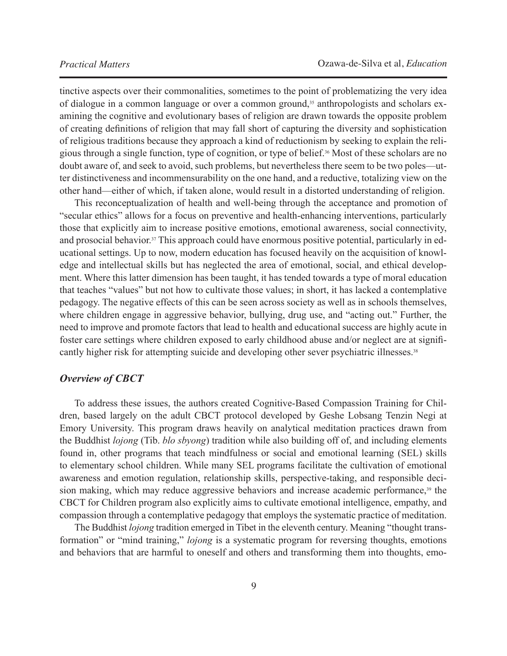tinctive aspects over their commonalities, sometimes to the point of problematizing the very idea of dialogue in a common language or over a common ground,<sup>35</sup> anthropologists and scholars examining the cognitive and evolutionary bases of religion are drawn towards the opposite problem of creating definitions of religion that may fall short of capturing the diversity and sophistication of religious traditions because they approach a kind of reductionism by seeking to explain the religious through a single function, type of cognition, or type of belief.36 Most of these scholars are no doubt aware of, and seek to avoid, such problems, but nevertheless there seem to be two poles—utter distinctiveness and incommensurability on the one hand, and a reductive, totalizing view on the other hand—either of which, if taken alone, would result in a distorted understanding of religion.

This reconceptualization of health and well-being through the acceptance and promotion of "secular ethics" allows for a focus on preventive and health-enhancing interventions, particularly those that explicitly aim to increase positive emotions, emotional awareness, social connectivity, and prosocial behavior.<sup>37</sup> This approach could have enormous positive potential, particularly in educational settings. Up to now, modern education has focused heavily on the acquisition of knowledge and intellectual skills but has neglected the area of emotional, social, and ethical development. Where this latter dimension has been taught, it has tended towards a type of moral education that teaches "values" but not how to cultivate those values; in short, it has lacked a contemplative pedagogy. The negative effects of this can be seen across society as well as in schools themselves, where children engage in aggressive behavior, bullying, drug use, and "acting out." Further, the need to improve and promote factors that lead to health and educational success are highly acute in foster care settings where children exposed to early childhood abuse and/or neglect are at significantly higher risk for attempting suicide and developing other sever psychiatric illnesses.<sup>38</sup>

#### *Overview of CBCT*

To address these issues, the authors created Cognitive-Based Compassion Training for Children, based largely on the adult CBCT protocol developed by Geshe Lobsang Tenzin Negi at Emory University. This program draws heavily on analytical meditation practices drawn from the Buddhist *lojong* (Tib. *blo sbyong*) tradition while also building off of, and including elements found in, other programs that teach mindfulness or social and emotional learning (SEL) skills to elementary school children. While many SEL programs facilitate the cultivation of emotional awareness and emotion regulation, relationship skills, perspective-taking, and responsible decision making, which may reduce aggressive behaviors and increase academic performance,<sup>39</sup> the CBCT for Children program also explicitly aims to cultivate emotional intelligence, empathy, and compassion through a contemplative pedagogy that employs the systematic practice of meditation.

The Buddhist *lojong* tradition emerged in Tibet in the eleventh century. Meaning "thought transformation" or "mind training," *lojong* is a systematic program for reversing thoughts, emotions and behaviors that are harmful to oneself and others and transforming them into thoughts, emo-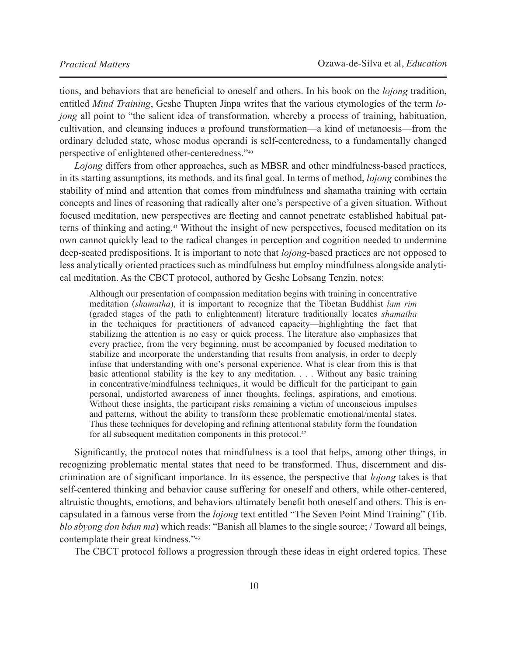tions, and behaviors that are beneficial to oneself and others. In his book on the *lojong* tradition, entitled *Mind Training*, Geshe Thupten Jinpa writes that the various etymologies of the term *lojong* all point to "the salient idea of transformation, whereby a process of training, habituation, cultivation, and cleansing induces a profound transformation—a kind of metanoesis—from the ordinary deluded state, whose modus operandi is self-centeredness, to a fundamentally changed perspective of enlightened other-centeredness."40

*Lojong* differs from other approaches, such as MBSR and other mindfulness-based practices, in its starting assumptions, its methods, and its final goal. In terms of method, *lojong* combines the stability of mind and attention that comes from mindfulness and shamatha training with certain concepts and lines of reasoning that radically alter one's perspective of a given situation. Without focused meditation, new perspectives are fleeting and cannot penetrate established habitual patterns of thinking and acting.41 Without the insight of new perspectives, focused meditation on its own cannot quickly lead to the radical changes in perception and cognition needed to undermine deep-seated predispositions. It is important to note that *lojong*-based practices are not opposed to less analytically oriented practices such as mindfulness but employ mindfulness alongside analytical meditation. As the CBCT protocol, authored by Geshe Lobsang Tenzin, notes:

Although our presentation of compassion meditation begins with training in concentrative meditation (*shamatha*), it is important to recognize that the Tibetan Buddhist *lam rim* (graded stages of the path to enlightenment) literature traditionally locates *shamatha* in the techniques for practitioners of advanced capacity—highlighting the fact that stabilizing the attention is no easy or quick process. The literature also emphasizes that every practice, from the very beginning, must be accompanied by focused meditation to stabilize and incorporate the understanding that results from analysis, in order to deeply infuse that understanding with one's personal experience. What is clear from this is that basic attentional stability is the key to any meditation. . . . Without any basic training in concentrative/mindfulness techniques, it would be difficult for the participant to gain personal, undistorted awareness of inner thoughts, feelings, aspirations, and emotions. Without these insights, the participant risks remaining a victim of unconscious impulses and patterns, without the ability to transform these problematic emotional/mental states. Thus these techniques for developing and refining attentional stability form the foundation for all subsequent meditation components in this protocol.<sup>42</sup>

Significantly, the protocol notes that mindfulness is a tool that helps, among other things, in recognizing problematic mental states that need to be transformed. Thus, discernment and discrimination are of significant importance. In its essence, the perspective that *lojong* takes is that self-centered thinking and behavior cause suffering for oneself and others, while other-centered, altruistic thoughts, emotions, and behaviors ultimately benefit both oneself and others. This is encapsulated in a famous verse from the *lojong* text entitled "The Seven Point Mind Training" (Tib. *blo sbyong don bdun ma*) which reads: "Banish all blames to the single source; / Toward all beings, contemplate their great kindness."43

The CBCT protocol follows a progression through these ideas in eight ordered topics. These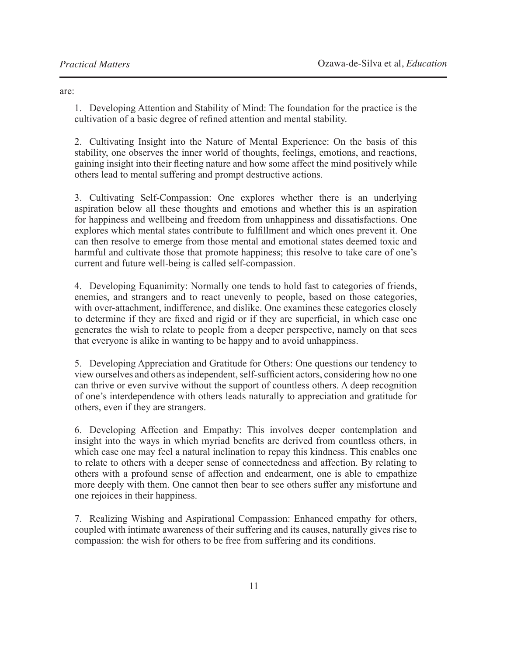are:

1. Developing Attention and Stability of Mind: The foundation for the practice is the cultivation of a basic degree of refined attention and mental stability.

2. Cultivating Insight into the Nature of Mental Experience: On the basis of this stability, one observes the inner world of thoughts, feelings, emotions, and reactions, gaining insight into their fleeting nature and how some affect the mind positively while others lead to mental suffering and prompt destructive actions.

3. Cultivating Self-Compassion: One explores whether there is an underlying aspiration below all these thoughts and emotions and whether this is an aspiration for happiness and wellbeing and freedom from unhappiness and dissatisfactions. One explores which mental states contribute to fulfillment and which ones prevent it. One can then resolve to emerge from those mental and emotional states deemed toxic and harmful and cultivate those that promote happiness; this resolve to take care of one's current and future well-being is called self-compassion.

4. Developing Equanimity: Normally one tends to hold fast to categories of friends, enemies, and strangers and to react unevenly to people, based on those categories, with over-attachment, indifference, and dislike. One examines these categories closely to determine if they are fixed and rigid or if they are superficial, in which case one generates the wish to relate to people from a deeper perspective, namely on that sees that everyone is alike in wanting to be happy and to avoid unhappiness.

5. Developing Appreciation and Gratitude for Others: One questions our tendency to view ourselves and others as independent, self-sufficient actors, considering how no one can thrive or even survive without the support of countless others. A deep recognition of one's interdependence with others leads naturally to appreciation and gratitude for others, even if they are strangers.

6. Developing Affection and Empathy: This involves deeper contemplation and insight into the ways in which myriad benefits are derived from countless others, in which case one may feel a natural inclination to repay this kindness. This enables one to relate to others with a deeper sense of connectedness and affection. By relating to others with a profound sense of affection and endearment, one is able to empathize more deeply with them. One cannot then bear to see others suffer any misfortune and one rejoices in their happiness.

7. Realizing Wishing and Aspirational Compassion: Enhanced empathy for others, coupled with intimate awareness of their suffering and its causes, naturally gives rise to compassion: the wish for others to be free from suffering and its conditions.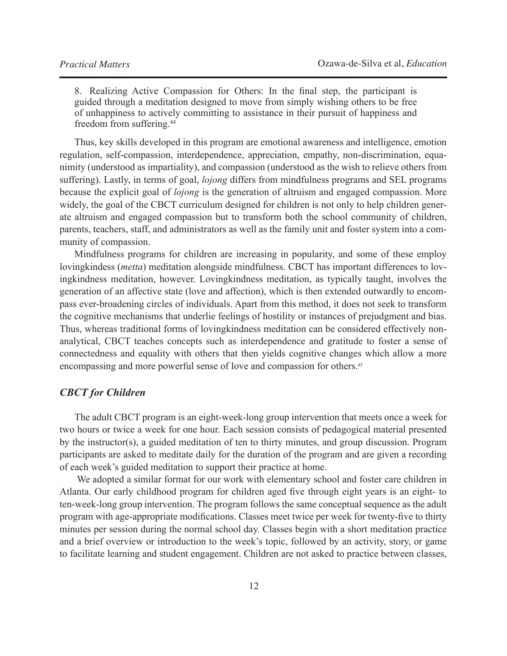8. Realizing Active Compassion for Others: In the final step, the participant is guided through a meditation designed to move from simply wishing others to be free of unhappiness to actively committing to assistance in their pursuit of happiness and freedom from suffering.44

Thus, key skills developed in this program are emotional awareness and intelligence, emotion regulation, self-compassion, interdependence, appreciation, empathy, non-discrimination, equanimity (understood as impartiality), and compassion (understood as the wish to relieve others from suffering). Lastly, in terms of goal, *lojong* differs from mindfulness programs and SEL programs because the explicit goal of *lojong* is the generation of altruism and engaged compassion. More widely, the goal of the CBCT curriculum designed for children is not only to help children generate altruism and engaged compassion but to transform both the school community of children, parents, teachers, staff, and administrators as well as the family unit and foster system into a community of compassion.

Mindfulness programs for children are increasing in popularity, and some of these employ lovingkindess (*metta*) meditation alongside mindfulness. CBCT has important differences to lovingkindness meditation, however. Lovingkindness meditation, as typically taught, involves the generation of an affective state (love and affection), which is then extended outwardly to encompass ever-broadening circles of individuals. Apart from this method, it does not seek to transform the cognitive mechanisms that underlie feelings of hostility or instances of prejudgment and bias. Thus, whereas traditional forms of lovingkindness meditation can be considered effectively nonanalytical, CBCT teaches concepts such as interdependence and gratitude to foster a sense of connectedness and equality with others that then yields cognitive changes which allow a more encompassing and more powerful sense of love and compassion for others.45

# *CBCT for Children*

The adult CBCT program is an eight-week-long group intervention that meets once a week for two hours or twice a week for one hour. Each session consists of pedagogical material presented by the instructor(s), a guided meditation of ten to thirty minutes, and group discussion. Program participants are asked to meditate daily for the duration of the program and are given a recording of each week's guided meditation to support their practice at home.

 We adopted a similar format for our work with elementary school and foster care children in Atlanta. Our early childhood program for children aged five through eight years is an eight- to ten-week-long group intervention. The program follows the same conceptual sequence as the adult program with age-appropriate modifications. Classes meet twice per week for twenty-five to thirty minutes per session during the normal school day. Classes begin with a short meditation practice and a brief overview or introduction to the week's topic, followed by an activity, story, or game to facilitate learning and student engagement. Children are not asked to practice between classes,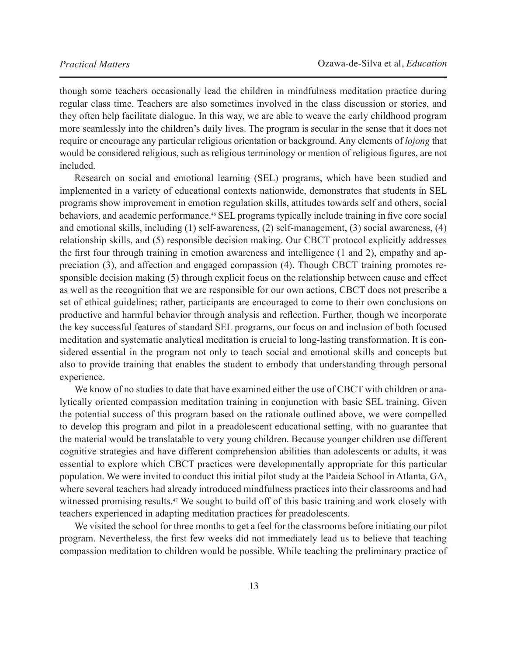though some teachers occasionally lead the children in mindfulness meditation practice during regular class time. Teachers are also sometimes involved in the class discussion or stories, and they often help facilitate dialogue. In this way, we are able to weave the early childhood program more seamlessly into the children's daily lives. The program is secular in the sense that it does not require or encourage any particular religious orientation or background. Any elements of *lojong* that would be considered religious, such as religious terminology or mention of religious figures, are not included.

Research on social and emotional learning (SEL) programs, which have been studied and implemented in a variety of educational contexts nationwide, demonstrates that students in SEL programs show improvement in emotion regulation skills, attitudes towards self and others, social behaviors, and academic performance.<sup>46</sup> SEL programs typically include training in five core social and emotional skills, including (1) self-awareness, (2) self-management, (3) social awareness, (4) relationship skills, and (5) responsible decision making. Our CBCT protocol explicitly addresses the first four through training in emotion awareness and intelligence (1 and 2), empathy and appreciation (3), and affection and engaged compassion (4). Though CBCT training promotes responsible decision making (5) through explicit focus on the relationship between cause and effect as well as the recognition that we are responsible for our own actions, CBCT does not prescribe a set of ethical guidelines; rather, participants are encouraged to come to their own conclusions on productive and harmful behavior through analysis and reflection. Further, though we incorporate the key successful features of standard SEL programs, our focus on and inclusion of both focused meditation and systematic analytical meditation is crucial to long-lasting transformation. It is considered essential in the program not only to teach social and emotional skills and concepts but also to provide training that enables the student to embody that understanding through personal experience.

We know of no studies to date that have examined either the use of CBCT with children or analytically oriented compassion meditation training in conjunction with basic SEL training. Given the potential success of this program based on the rationale outlined above, we were compelled to develop this program and pilot in a preadolescent educational setting, with no guarantee that the material would be translatable to very young children. Because younger children use different cognitive strategies and have different comprehension abilities than adolescents or adults, it was essential to explore which CBCT practices were developmentally appropriate for this particular population. We were invited to conduct this initial pilot study at the Paideia School in Atlanta, GA, where several teachers had already introduced mindfulness practices into their classrooms and had witnessed promising results.<sup>47</sup> We sought to build off of this basic training and work closely with teachers experienced in adapting meditation practices for preadolescents.

We visited the school for three months to get a feel for the classrooms before initiating our pilot program. Nevertheless, the first few weeks did not immediately lead us to believe that teaching compassion meditation to children would be possible. While teaching the preliminary practice of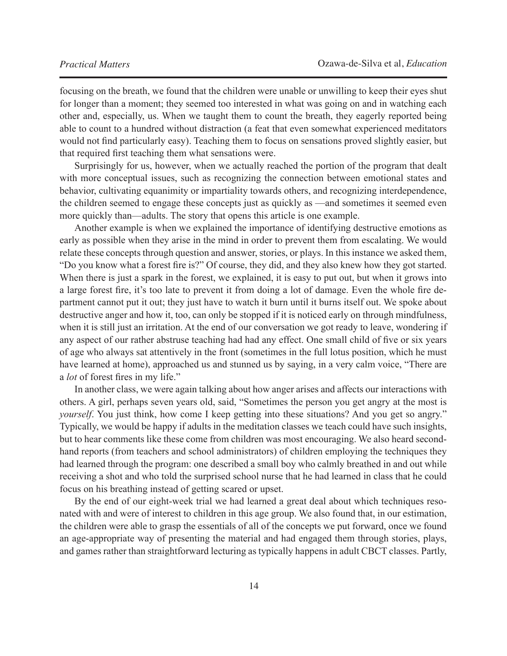focusing on the breath, we found that the children were unable or unwilling to keep their eyes shut for longer than a moment; they seemed too interested in what was going on and in watching each other and, especially, us. When we taught them to count the breath, they eagerly reported being able to count to a hundred without distraction (a feat that even somewhat experienced meditators would not find particularly easy). Teaching them to focus on sensations proved slightly easier, but that required first teaching them what sensations were.

Surprisingly for us, however, when we actually reached the portion of the program that dealt with more conceptual issues, such as recognizing the connection between emotional states and behavior, cultivating equanimity or impartiality towards others, and recognizing interdependence, the children seemed to engage these concepts just as quickly as —and sometimes it seemed even more quickly than—adults. The story that opens this article is one example.

Another example is when we explained the importance of identifying destructive emotions as early as possible when they arise in the mind in order to prevent them from escalating. We would relate these concepts through question and answer, stories, or plays. In this instance we asked them, "Do you know what a forest fire is?" Of course, they did, and they also knew how they got started. When there is just a spark in the forest, we explained, it is easy to put out, but when it grows into a large forest fire, it's too late to prevent it from doing a lot of damage. Even the whole fire department cannot put it out; they just have to watch it burn until it burns itself out. We spoke about destructive anger and how it, too, can only be stopped if it is noticed early on through mindfulness, when it is still just an irritation. At the end of our conversation we got ready to leave, wondering if any aspect of our rather abstruse teaching had had any effect. One small child of five or six years of age who always sat attentively in the front (sometimes in the full lotus position, which he must have learned at home), approached us and stunned us by saying, in a very calm voice, "There are a *lot* of forest fires in my life."

In another class, we were again talking about how anger arises and affects our interactions with others. A girl, perhaps seven years old, said, "Sometimes the person you get angry at the most is *yourself*. You just think, how come I keep getting into these situations? And you get so angry." Typically, we would be happy if adults in the meditation classes we teach could have such insights, but to hear comments like these come from children was most encouraging. We also heard secondhand reports (from teachers and school administrators) of children employing the techniques they had learned through the program: one described a small boy who calmly breathed in and out while receiving a shot and who told the surprised school nurse that he had learned in class that he could focus on his breathing instead of getting scared or upset.

By the end of our eight-week trial we had learned a great deal about which techniques resonated with and were of interest to children in this age group. We also found that, in our estimation, the children were able to grasp the essentials of all of the concepts we put forward, once we found an age-appropriate way of presenting the material and had engaged them through stories, plays, and games rather than straightforward lecturing as typically happens in adult CBCT classes. Partly,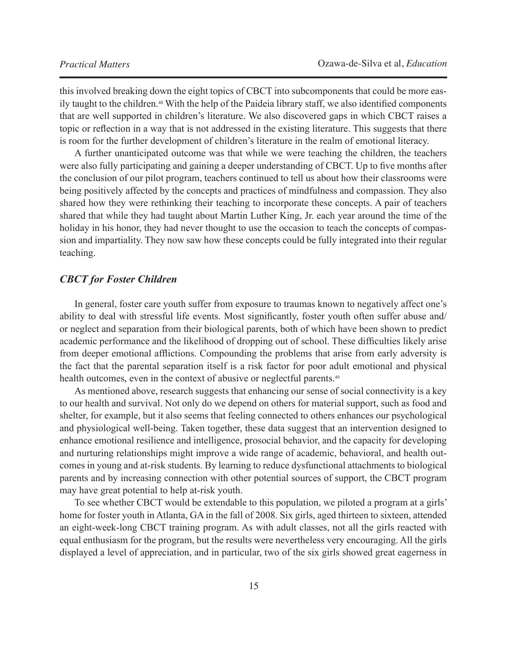this involved breaking down the eight topics of CBCT into subcomponents that could be more easily taught to the children.48 With the help of the Paideia library staff, we also identified components that are well supported in children's literature. We also discovered gaps in which CBCT raises a topic or reflection in a way that is not addressed in the existing literature. This suggests that there is room for the further development of children's literature in the realm of emotional literacy.

A further unanticipated outcome was that while we were teaching the children, the teachers were also fully participating and gaining a deeper understanding of CBCT. Up to five months after the conclusion of our pilot program, teachers continued to tell us about how their classrooms were being positively affected by the concepts and practices of mindfulness and compassion. They also shared how they were rethinking their teaching to incorporate these concepts. A pair of teachers shared that while they had taught about Martin Luther King, Jr. each year around the time of the holiday in his honor, they had never thought to use the occasion to teach the concepts of compassion and impartiality. They now saw how these concepts could be fully integrated into their regular teaching.

## *CBCT for Foster Children*

In general, foster care youth suffer from exposure to traumas known to negatively affect one's ability to deal with stressful life events. Most significantly, foster youth often suffer abuse and/ or neglect and separation from their biological parents, both of which have been shown to predict academic performance and the likelihood of dropping out of school. These difficulties likely arise from deeper emotional afflictions. Compounding the problems that arise from early adversity is the fact that the parental separation itself is a risk factor for poor adult emotional and physical health outcomes, even in the context of abusive or neglectful parents.<sup>49</sup>

As mentioned above, research suggests that enhancing our sense of social connectivity is a key to our health and survival. Not only do we depend on others for material support, such as food and shelter, for example, but it also seems that feeling connected to others enhances our psychological and physiological well-being. Taken together, these data suggest that an intervention designed to enhance emotional resilience and intelligence, prosocial behavior, and the capacity for developing and nurturing relationships might improve a wide range of academic, behavioral, and health outcomes in young and at-risk students. By learning to reduce dysfunctional attachments to biological parents and by increasing connection with other potential sources of support, the CBCT program may have great potential to help at-risk youth.

To see whether CBCT would be extendable to this population, we piloted a program at a girls' home for foster youth in Atlanta, GA in the fall of 2008. Six girls, aged thirteen to sixteen, attended an eight-week-long CBCT training program. As with adult classes, not all the girls reacted with equal enthusiasm for the program, but the results were nevertheless very encouraging. All the girls displayed a level of appreciation, and in particular, two of the six girls showed great eagerness in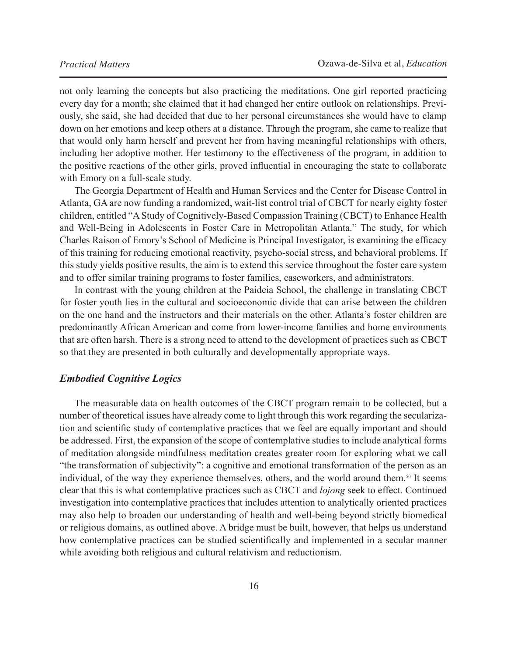not only learning the concepts but also practicing the meditations. One girl reported practicing every day for a month; she claimed that it had changed her entire outlook on relationships. Previously, she said, she had decided that due to her personal circumstances she would have to clamp down on her emotions and keep others at a distance. Through the program, she came to realize that that would only harm herself and prevent her from having meaningful relationships with others, including her adoptive mother. Her testimony to the effectiveness of the program, in addition to the positive reactions of the other girls, proved influential in encouraging the state to collaborate with Emory on a full-scale study.

The Georgia Department of Health and Human Services and the Center for Disease Control in Atlanta, GA are now funding a randomized, wait-list control trial of CBCT for nearly eighty foster children, entitled "A Study of Cognitively-Based Compassion Training (CBCT) to Enhance Health and Well-Being in Adolescents in Foster Care in Metropolitan Atlanta." The study, for which Charles Raison of Emory's School of Medicine is Principal Investigator, is examining the efficacy of this training for reducing emotional reactivity, psycho-social stress, and behavioral problems. If this study yields positive results, the aim is to extend this service throughout the foster care system and to offer similar training programs to foster families, caseworkers, and administrators.

In contrast with the young children at the Paideia School, the challenge in translating CBCT for foster youth lies in the cultural and socioeconomic divide that can arise between the children on the one hand and the instructors and their materials on the other. Atlanta's foster children are predominantly African American and come from lower-income families and home environments that are often harsh. There is a strong need to attend to the development of practices such as CBCT so that they are presented in both culturally and developmentally appropriate ways.

## *Embodied Cognitive Logics*

The measurable data on health outcomes of the CBCT program remain to be collected, but a number of theoretical issues have already come to light through this work regarding the secularization and scientific study of contemplative practices that we feel are equally important and should be addressed. First, the expansion of the scope of contemplative studies to include analytical forms of meditation alongside mindfulness meditation creates greater room for exploring what we call "the transformation of subjectivity": a cognitive and emotional transformation of the person as an individual, of the way they experience themselves, others, and the world around them.<sup>50</sup> It seems clear that this is what contemplative practices such as CBCT and *lojong* seek to effect. Continued investigation into contemplative practices that includes attention to analytically oriented practices may also help to broaden our understanding of health and well-being beyond strictly biomedical or religious domains, as outlined above. A bridge must be built, however, that helps us understand how contemplative practices can be studied scientifically and implemented in a secular manner while avoiding both religious and cultural relativism and reductionism.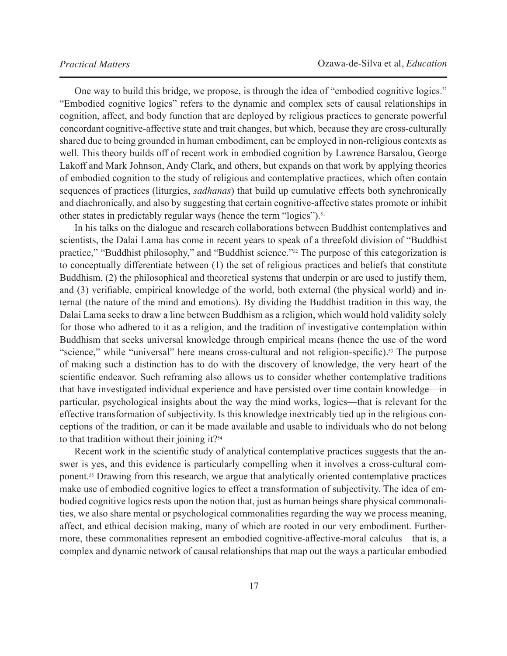One way to build this bridge, we propose, is through the idea of "embodied cognitive logics." "Embodied cognitive logics" refers to the dynamic and complex sets of causal relationships in cognition, affect, and body function that are deployed by religious practices to generate powerful concordant cognitive-affective state and trait changes, but which, because they are cross-culturally shared due to being grounded in human embodiment, can be employed in non-religious contexts as well. This theory builds off of recent work in embodied cognition by Lawrence Barsalou, George Lakoff and Mark Johnson, Andy Clark, and others, but expands on that work by applying theories of embodied cognition to the study of religious and contemplative practices, which often contain sequences of practices (liturgies, *sadhanas*) that build up cumulative effects both synchronically and diachronically, and also by suggesting that certain cognitive-affective states promote or inhibit other states in predictably regular ways (hence the term "logics").<sup>51</sup>

In his talks on the dialogue and research collaborations between Buddhist contemplatives and scientists, the Dalai Lama has come in recent years to speak of a threefold division of "Buddhist practice," "Buddhist philosophy," and "Buddhist science."<sup>52</sup> The purpose of this categorization is to conceptually differentiate between (1) the set of religious practices and beliefs that constitute Buddhism, (2) the philosophical and theoretical systems that underpin or are used to justify them, and (3) verifiable, empirical knowledge of the world, both external (the physical world) and internal (the nature of the mind and emotions). By dividing the Buddhist tradition in this way, the Dalai Lama seeks to draw a line between Buddhism as a religion, which would hold validity solely for those who adhered to it as a religion, and the tradition of investigative contemplation within Buddhism that seeks universal knowledge through empirical means (hence the use of the word "science," while "universal" here means cross-cultural and not religion-specific).<sup>53</sup> The purpose of making such a distinction has to do with the discovery of knowledge, the very heart of the scientific endeavor. Such reframing also allows us to consider whether contemplative traditions that have investigated individual experience and have persisted over time contain knowledge—in particular, psychological insights about the way the mind works, logics—that is relevant for the effective transformation of subjectivity. Is this knowledge inextricably tied up in the religious conceptions of the tradition, or can it be made available and usable to individuals who do not belong to that tradition without their joining it?<sup>54</sup>

Recent work in the scientific study of analytical contemplative practices suggests that the answer is yes, and this evidence is particularly compelling when it involves a cross-cultural component.55 Drawing from this research, we argue that analytically oriented contemplative practices make use of embodied cognitive logics to effect a transformation of subjectivity. The idea of embodied cognitive logics rests upon the notion that, just as human beings share physical commonalities, we also share mental or psychological commonalities regarding the way we process meaning, affect, and ethical decision making, many of which are rooted in our very embodiment. Furthermore, these commonalities represent an embodied cognitive-affective-moral calculus—that is, a complex and dynamic network of causal relationships that map out the ways a particular embodied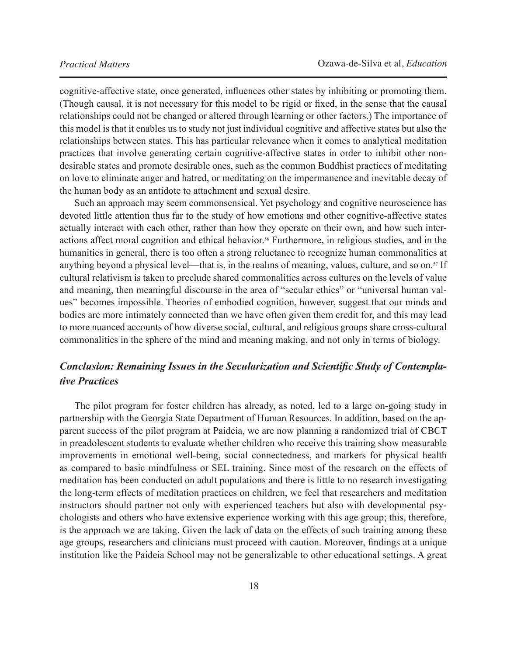cognitive-affective state, once generated, influences other states by inhibiting or promoting them. (Though causal, it is not necessary for this model to be rigid or fixed, in the sense that the causal relationships could not be changed or altered through learning or other factors.) The importance of this model is that it enables us to study not just individual cognitive and affective states but also the relationships between states. This has particular relevance when it comes to analytical meditation practices that involve generating certain cognitive-affective states in order to inhibit other nondesirable states and promote desirable ones, such as the common Buddhist practices of meditating on love to eliminate anger and hatred, or meditating on the impermanence and inevitable decay of the human body as an antidote to attachment and sexual desire.

Such an approach may seem commonsensical. Yet psychology and cognitive neuroscience has devoted little attention thus far to the study of how emotions and other cognitive-affective states actually interact with each other, rather than how they operate on their own, and how such interactions affect moral cognition and ethical behavior.<sup>56</sup> Furthermore, in religious studies, and in the humanities in general, there is too often a strong reluctance to recognize human commonalities at anything beyond a physical level—that is, in the realms of meaning, values, culture, and so on.<sup>57</sup> If cultural relativism is taken to preclude shared commonalities across cultures on the levels of value and meaning, then meaningful discourse in the area of "secular ethics" or "universal human values" becomes impossible. Theories of embodied cognition, however, suggest that our minds and bodies are more intimately connected than we have often given them credit for, and this may lead to more nuanced accounts of how diverse social, cultural, and religious groups share cross-cultural commonalities in the sphere of the mind and meaning making, and not only in terms of biology.

# *Conclusion: Remaining Issues in the Secularization and Scientific Study of Contemplative Practices*

The pilot program for foster children has already, as noted, led to a large on-going study in partnership with the Georgia State Department of Human Resources. In addition, based on the apparent success of the pilot program at Paideia, we are now planning a randomized trial of CBCT in preadolescent students to evaluate whether children who receive this training show measurable improvements in emotional well-being, social connectedness, and markers for physical health as compared to basic mindfulness or SEL training. Since most of the research on the effects of meditation has been conducted on adult populations and there is little to no research investigating the long-term effects of meditation practices on children, we feel that researchers and meditation instructors should partner not only with experienced teachers but also with developmental psychologists and others who have extensive experience working with this age group; this, therefore, is the approach we are taking. Given the lack of data on the effects of such training among these age groups, researchers and clinicians must proceed with caution. Moreover, findings at a unique institution like the Paideia School may not be generalizable to other educational settings. A great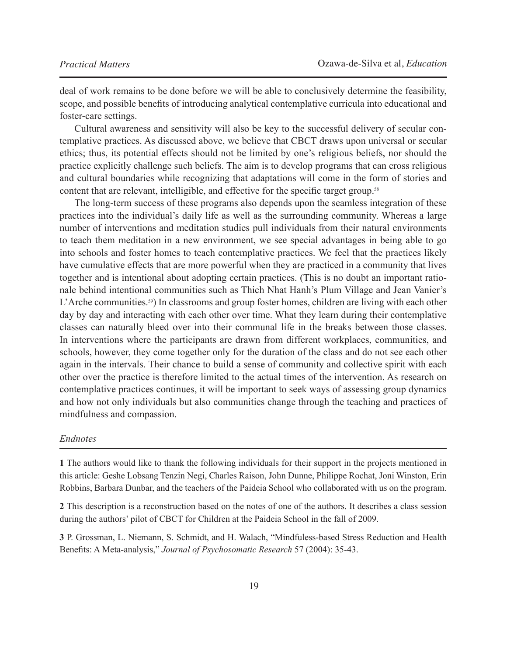deal of work remains to be done before we will be able to conclusively determine the feasibility, scope, and possible benefits of introducing analytical contemplative curricula into educational and foster-care settings.

Cultural awareness and sensitivity will also be key to the successful delivery of secular contemplative practices. As discussed above, we believe that CBCT draws upon universal or secular ethics; thus, its potential effects should not be limited by one's religious beliefs, nor should the practice explicitly challenge such beliefs. The aim is to develop programs that can cross religious and cultural boundaries while recognizing that adaptations will come in the form of stories and content that are relevant, intelligible, and effective for the specific target group.<sup>58</sup>

The long-term success of these programs also depends upon the seamless integration of these practices into the individual's daily life as well as the surrounding community. Whereas a large number of interventions and meditation studies pull individuals from their natural environments to teach them meditation in a new environment, we see special advantages in being able to go into schools and foster homes to teach contemplative practices. We feel that the practices likely have cumulative effects that are more powerful when they are practiced in a community that lives together and is intentional about adopting certain practices. (This is no doubt an important rationale behind intentional communities such as Thich Nhat Hanh's Plum Village and Jean Vanier's L'Arche communities.<sup>59</sup>) In classrooms and group foster homes, children are living with each other day by day and interacting with each other over time. What they learn during their contemplative classes can naturally bleed over into their communal life in the breaks between those classes. In interventions where the participants are drawn from different workplaces, communities, and schools, however, they come together only for the duration of the class and do not see each other again in the intervals. Their chance to build a sense of community and collective spirit with each other over the practice is therefore limited to the actual times of the intervention. As research on contemplative practices continues, it will be important to seek ways of assessing group dynamics and how not only individuals but also communities change through the teaching and practices of mindfulness and compassion.

#### *Endnotes*

**1** The authors would like to thank the following individuals for their support in the projects mentioned in this article: Geshe Lobsang Tenzin Negi, Charles Raison, John Dunne, Philippe Rochat, Joni Winston, Erin Robbins, Barbara Dunbar, and the teachers of the Paideia School who collaborated with us on the program.

**2** This description is a reconstruction based on the notes of one of the authors. It describes a class session during the authors' pilot of CBCT for Children at the Paideia School in the fall of 2009.

**3** P. Grossman, L. Niemann, S. Schmidt, and H. Walach, "Mindfuless-based Stress Reduction and Health Benefits: A Meta-analysis," *Journal of Psychosomatic Research* 57 (2004): 35-43.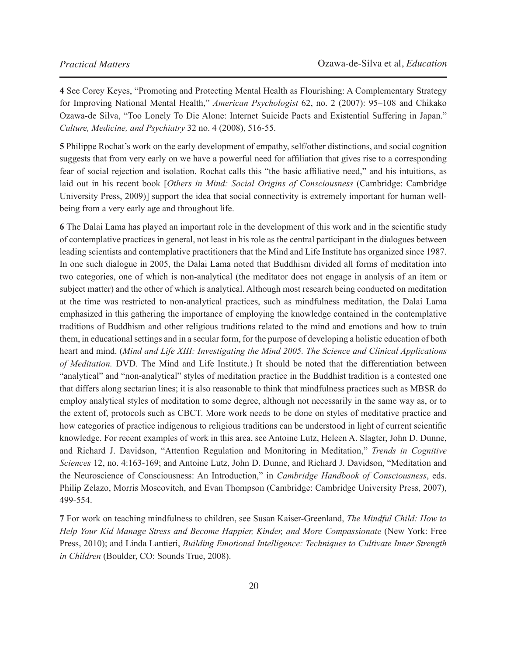**4** See Corey Keyes, "Promoting and Protecting Mental Health as Flourishing: A Complementary Strategy for Improving National Mental Health," *American Psychologist* 62, no. 2 (2007): 95–108 and Chikako Ozawa-de Silva, "Too Lonely To Die Alone: Internet Suicide Pacts and Existential Suffering in Japan." *Culture, Medicine, and Psychiatry* 32 no. 4 (2008), 516-55.

**5** Philippe Rochat's work on the early development of empathy, self/other distinctions, and social cognition suggests that from very early on we have a powerful need for affiliation that gives rise to a corresponding fear of social rejection and isolation. Rochat calls this "the basic affiliative need," and his intuitions, as laid out in his recent book [*Others in Mind: Social Origins of Consciousness* (Cambridge: Cambridge University Press, 2009)] support the idea that social connectivity is extremely important for human wellbeing from a very early age and throughout life.

**6** The Dalai Lama has played an important role in the development of this work and in the scientific study of contemplative practices in general, not least in his role as the central participant in the dialogues between leading scientists and contemplative practitioners that the Mind and Life Institute has organized since 1987. In one such dialogue in 2005, the Dalai Lama noted that Buddhism divided all forms of meditation into two categories, one of which is non-analytical (the meditator does not engage in analysis of an item or subject matter) and the other of which is analytical. Although most research being conducted on meditation at the time was restricted to non-analytical practices, such as mindfulness meditation, the Dalai Lama emphasized in this gathering the importance of employing the knowledge contained in the contemplative traditions of Buddhism and other religious traditions related to the mind and emotions and how to train them, in educational settings and in a secular form, for the purpose of developing a holistic education of both heart and mind. (*Mind and Life XIII: Investigating the Mind 2005. The Science and Clinical Applications of Meditation.* DVD*.* The Mind and Life Institute.) It should be noted that the differentiation between "analytical" and "non-analytical" styles of meditation practice in the Buddhist tradition is a contested one that differs along sectarian lines; it is also reasonable to think that mindfulness practices such as MBSR do employ analytical styles of meditation to some degree, although not necessarily in the same way as, or to the extent of, protocols such as CBCT. More work needs to be done on styles of meditative practice and how categories of practice indigenous to religious traditions can be understood in light of current scientific knowledge. For recent examples of work in this area, see Antoine Lutz, Heleen A. Slagter, John D. Dunne, and Richard J. Davidson, "Attention Regulation and Monitoring in Meditation," *Trends in Cognitive Sciences* 12, no. 4:163-169; and Antoine Lutz, John D. Dunne, and Richard J. Davidson, "Meditation and the Neuroscience of Consciousness: An Introduction," in *Cambridge Handbook of Consciousness*, eds. Philip Zelazo, Morris Moscovitch, and Evan Thompson (Cambridge: Cambridge University Press, 2007), 499-554.

**7** For work on teaching mindfulness to children, see Susan Kaiser-Greenland, *The Mindful Child: How to Help Your Kid Manage Stress and Become Happier, Kinder, and More Compassionate* (New York: Free Press, 2010); and Linda Lantieri, *Building Emotional Intelligence: Techniques to Cultivate Inner Strength in Children* (Boulder, CO: Sounds True, 2008).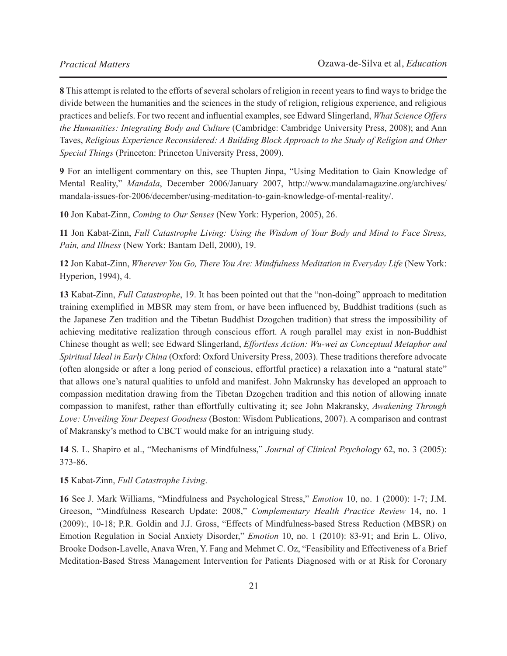**8** This attempt is related to the efforts of several scholars of religion in recent years to find ways to bridge the divide between the humanities and the sciences in the study of religion, religious experience, and religious practices and beliefs. For two recent and influential examples, see Edward Slingerland, *What Science Offers the Humanities: Integrating Body and Culture* (Cambridge: Cambridge University Press, 2008); and Ann Taves, *Religious Experience Reconsidered: A Building Block Approach to the Study of Religion and Other Special Things* (Princeton: Princeton University Press, 2009).

**9** For an intelligent commentary on this, see Thupten Jinpa, "Using Meditation to Gain Knowledge of Mental Reality," *Mandala*, December 2006/January 2007, http://www.mandalamagazine.org/archives/ mandala-issues-for-2006/december/using-meditation-to-gain-knowledge-of-mental-reality/.

**10** Jon Kabat-Zinn, *Coming to Our Senses* (New York: Hyperion, 2005), 26.

**11** Jon Kabat-Zinn, *Full Catastrophe Living: Using the Wisdom of Your Body and Mind to Face Stress, Pain, and Illness* (New York: Bantam Dell, 2000), 19.

**12** Jon Kabat-Zinn, *Wherever You Go, There You Are: Mindfulness Meditation in Everyday Life* (New York: Hyperion, 1994), 4.

**13** Kabat-Zinn, *Full Catastrophe*, 19. It has been pointed out that the "non-doing" approach to meditation training exemplified in MBSR may stem from, or have been influenced by, Buddhist traditions (such as the Japanese Zen tradition and the Tibetan Buddhist Dzogchen tradition) that stress the impossibility of achieving meditative realization through conscious effort. A rough parallel may exist in non-Buddhist Chinese thought as well; see Edward Slingerland, *Effortless Action: Wu-wei as Conceptual Metaphor and Spiritual Ideal in Early China* (Oxford: Oxford University Press, 2003). These traditions therefore advocate (often alongside or after a long period of conscious, effortful practice) a relaxation into a "natural state" that allows one's natural qualities to unfold and manifest. John Makransky has developed an approach to compassion meditation drawing from the Tibetan Dzogchen tradition and this notion of allowing innate compassion to manifest, rather than effortfully cultivating it; see John Makransky, *Awakening Through Love: Unveiling Your Deepest Goodness* (Boston: Wisdom Publications, 2007). A comparison and contrast of Makransky's method to CBCT would make for an intriguing study.

**14** S. L. Shapiro et al., "Mechanisms of Mindfulness," *Journal of Clinical Psychology* 62, no. 3 (2005): 373-86.

#### **15** Kabat-Zinn, *Full Catastrophe Living*.

**16** See J. Mark Williams, "Mindfulness and Psychological Stress," *Emotion* 10, no. 1 (2000): 1-7; J.M. Greeson, "Mindfulness Research Update: 2008," *Complementary Health Practice Review* 14, no. 1 [\(2009\):, 10-18; P.R. Goldin and J.J. Gross, "Effects of Mindfulness-based Stress Reduction \(MBSR\) on](mailto:?subject=)  Emotion Regulation in Social Anxiety Disorder," *Emotion* 10, no. 1 (2010): 83-91; and Erin L. Olivo, Brooke Dodson-Lavelle, Anava Wren, Y. Fang and Mehmet C. Oz, "Feasibility and Effectiveness of a Brief Meditation-Based Stress Management Intervention for Patients Diagnosed with or at Risk for Coronary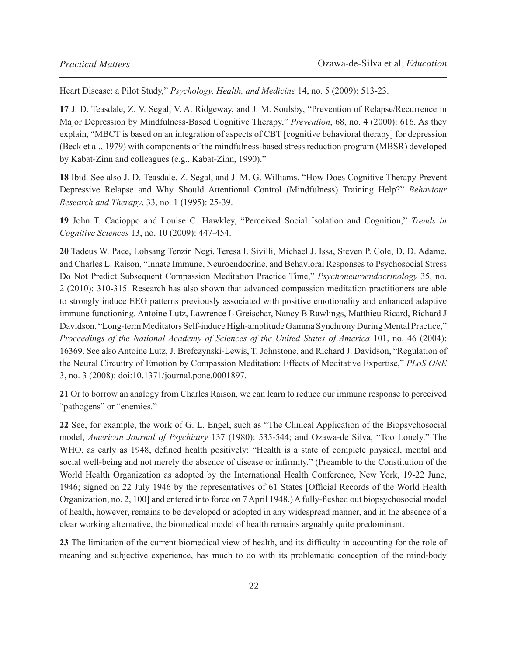Heart Disease: a Pilot Study," *Psychology, Health, and Medicine* 14, no. 5 (2009): 513-23.

**17** J. D. Teasdale, Z. V. Segal, V. A. Ridgeway, and J. M. Soulsby, "Prevention of Relapse/Recurrence in Major Depression by Mindfulness-Based Cognitive Therapy," *Prevention*, 68, no. 4 (2000): 616. As they explain, "MBCT is based on an integration of aspects of CBT [cognitive behavioral therapy] for depression (Beck et al., 1979) with components of the mindfulness-based stress reduction program (MBSR) developed by Kabat-Zinn and colleagues (e.g., Kabat-Zinn, 1990)."

**18** Ibid. See also J. D. Teasdale, Z. Segal, and J. M. G. Williams, "How Does Cognitive Therapy Prevent Depressive Relapse and Why Should Attentional Control (Mindfulness) Training Help?" *Behaviour Research and Therapy*, 33, no. 1 (1995): 25-39.

**19** John T. Cacioppo and Louise C. Hawkley, "Perceived Social Isolation and Cognition," *Trends in Cognitive Sciences* 13, no. 10 (2009): 447-454.

**20** Tadeus W. Pace, Lobsang Tenzin Negi, Teresa I. Sivilli, Michael J. Issa, Steven P. Cole, D. D. Adame, and Charles L. Raison, "Innate Immune, Neuroendocrine, and Behavioral Responses to Psychosocial Stress Do Not Predict Subsequent Compassion Meditation Practice Time," *Psychoneuroendocrinology* 35, no. 2 (2010): 310-315. Research has also shown that advanced compassion meditation practitioners are able to strongly induce EEG patterns previously associated with positive emotionality and enhanced adaptive immune functioning. Antoine Lutz, Lawrence L Greischar, Nancy B Rawlings, Matthieu Ricard, Richard J Davidson, "Long-term Meditators Self-induce High-amplitude Gamma Synchrony During Mental Practice," *Proceedings of the National Academy of Sciences of the United States of America 101, no. 46 (2004):* 16369. See also Antoine Lutz, J. Brefczynski-Lewis, T. Johnstone, and Richard J. Davidson, "Regulation of the Neural Circuitry of Emotion by Compassion Meditation: Effects of Meditative Expertise," *PLoS ONE* 3, no. 3 (2008): doi:10.1371/journal.pone.0001897.

**21** Or to borrow an analogy from Charles Raison, we can learn to reduce our immune response to perceived "pathogens" or "enemies."

**22** See, for example, the work of G. L. Engel, such as "The Clinical Application of the Biopsychosocial model, *American Journal of Psychiatry* 137 (1980): 535-544; and Ozawa-de Silva, "Too Lonely." The WHO, as early as 1948, defined health positively: "Health is a state of complete physical, mental and social well-being and not merely the absence of disease or infirmity." (Preamble to the Constitution of the World Health Organization as adopted by the International Health Conference, New York, 19-22 June, 1946; signed on 22 July 1946 by the representatives of 61 States [Official Records of the World Health Organization, no. 2, 100] and entered into force on 7 April 1948.) A fully-fleshed out biopsychosocial model of health, however, remains to be developed or adopted in any widespread manner, and in the absence of a clear working alternative, the biomedical model of health remains arguably quite predominant.

**23** The limitation of the current biomedical view of health, and its difficulty in accounting for the role of meaning and subjective experience, has much to do with its problematic conception of the mind-body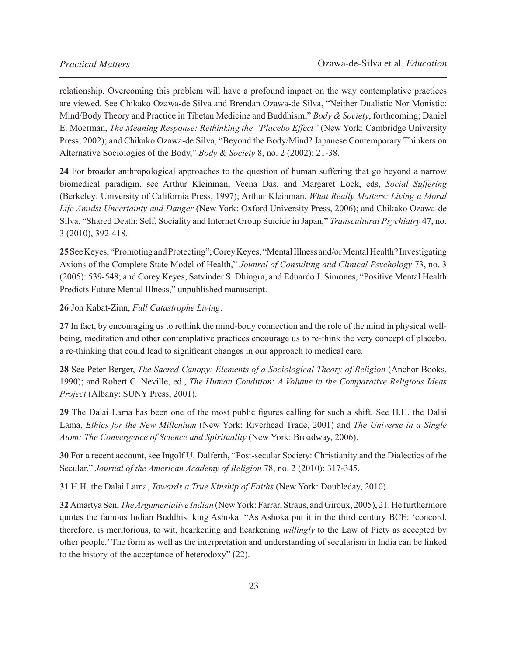relationship. Overcoming this problem will have a profound impact on the way contemplative practices are viewed. See Chikako Ozawa-de Silva and Brendan Ozawa-de Silva, "Neither Dualistic Nor Monistic: Mind/Body Theory and Practice in Tibetan Medicine and Buddhism," *Body & Society*, forthcoming; Daniel E. Moerman, *The Meaning Response: Rethinking the "Placebo Effect"* (New York: Cambridge University Press, 2002); and Chikako Ozawa-de Silva, "Beyond the Body/Mind? Japanese Contemporary Thinkers on Alternative Sociologies of the Body," *Body & Society* 8, no. 2 (2002): 21-38.

**24** For broader anthropological approaches to the question of human suffering that go beyond a narrow biomedical paradigm, see Arthur Kleinman, Veena Das, and Margaret Lock, eds, *Social Suffering* (Berkeley: University of California Press, 1997); Arthur Kleinman, *What Really Matters: Living a Moral Life Amidst Uncertainty and Danger* (New York: Oxford University Press, 2006); and Chikako Ozawa-de Silva, "Shared Death: Self, Sociality and Internet Group Suicide in Japan," *Transcultural Psychiatry* 47, no. 3 (2010), 392-418.

**25**See Keyes, "Promoting and Protecting"; Corey Keyes, "Mental Illness and/or Mental Health? Investigating Axions of the Complete State Model of Health," *Jounral of Consulting and Clinical Psychology* 73, no. 3 (2005): 539-548; and Corey Keyes, Satvinder S. Dhingra, and Eduardo J. Simones, "Positive Mental Health Predicts Future Mental Illness," unpublished manuscript.

#### **26** Jon Kabat-Zinn, *Full Catastrophe Living*.

**27** In fact, by encouraging us to rethink the mind-body connection and the role of the mind in physical wellbeing, meditation and other contemplative practices encourage us to re-think the very concept of placebo, a re-thinking that could lead to significant changes in our approach to medical care.

**28** See Peter Berger, *The Sacred Canopy: Elements of a Sociological Theory of Religion* (Anchor Books, 1990); and Robert C. Neville, ed., *The Human Condition: A Volume in the Comparative Religious Ideas Project* (Albany: SUNY Press, 2001).

**29** The Dalai Lama has been one of the most public figures calling for such a shift. See H.H. the Dalai Lama, *Ethics for the New Millenium* (New York: Riverhead Trade, 2001) and *The Universe in a Single Atom: The Convergence of Science and Spirituality* (New York: Broadway, 2006).

**30** For a recent account, see Ingolf U. Dalferth, "Post-secular Society: Christianity and the Dialectics of the Secular," *Journal of the American Academy of Religion* 78, no. 2 (2010): 317-345.

**31** H.H. the Dalai Lama, *Towards a True Kinship of Faiths* (New York: Doubleday, 2010).

**32** Amartya Sen, *The Argumentative Indian* (New York: Farrar, Straus, and Giroux, 2005), 21. He furthermore quotes the famous Indian Buddhist king Ashoka: "As Ashoka put it in the third century BCE: 'concord, therefore, is meritorious, to wit, hearkening and hearkening *willingly* to the Law of Piety as accepted by other people.' The form as well as the interpretation and understanding of secularism in India can be linked to the history of the acceptance of heterodoxy" (22).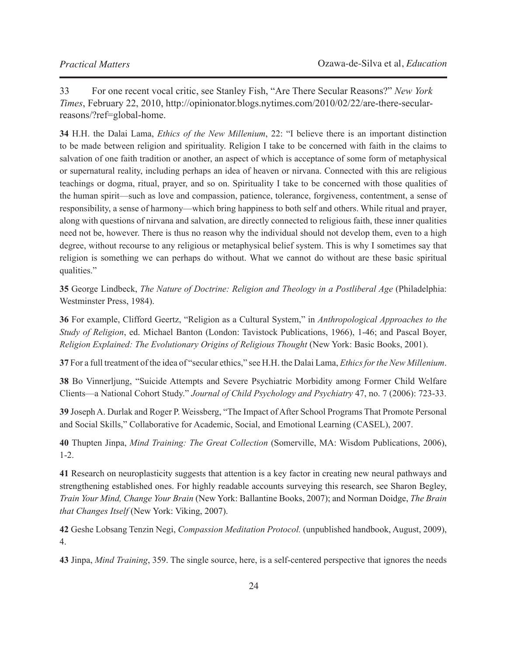33 For one recent vocal critic, see Stanley Fish, "Are There Secular Reasons?" *New York Times*, February 22, 2010, http://opinionator.blogs.nytimes.com/2010/02/22/are-there-secularreasons/?ref=global-home.

**34** H.H. the Dalai Lama, *Ethics of the New Millenium*, 22: "I believe there is an important distinction to be made between religion and spirituality. Religion I take to be concerned with faith in the claims to salvation of one faith tradition or another, an aspect of which is acceptance of some form of metaphysical or supernatural reality, including perhaps an idea of heaven or nirvana. Connected with this are religious teachings or dogma, ritual, prayer, and so on. Spirituality I take to be concerned with those qualities of the human spirit—such as love and compassion, patience, tolerance, forgiveness, contentment, a sense of responsibility, a sense of harmony—which bring happiness to both self and others. While ritual and prayer, along with questions of nirvana and salvation, are directly connected to religious faith, these inner qualities need not be, however. There is thus no reason why the individual should not develop them, even to a high degree, without recourse to any religious or metaphysical belief system. This is why I sometimes say that religion is something we can perhaps do without. What we cannot do without are these basic spiritual qualities."

**35** George Lindbeck, *The Nature of Doctrine: Religion and Theology in a Postliberal Age* (Philadelphia: Westminster Press, 1984).

**36** For example, Clifford Geertz, "Religion as a Cultural System," in *Anthropological Approaches to the Study of Religion*, ed. Michael Banton (London: Tavistock Publications, 1966), 1-46; and Pascal Boyer, *Religion Explained: The Evolutionary Origins of Religious Thought* (New York: Basic Books, 2001).

**37** For a full treatment of the idea of "secular ethics," see H.H. the Dalai Lama, *Ethics for the New Millenium*.

**38** Bo Vinnerljung, "Suicide Attempts and Severe Psychiatric Morbidity among Former Child Welfare Clients—a National Cohort Study." *Journal of Child Psychology and Psychiatry* 47, no. 7 (2006): 723-33.

**39** Joseph A. Durlak and Roger P. Weissberg, "The Impact of After School Programs That Promote Personal and Social Skills," Collaborative for Academic, Social, and Emotional Learning (CASEL), 2007.

**40** Thupten Jinpa, *Mind Training: The Great Collection* (Somerville, MA: Wisdom Publications, 2006), 1-2.

**41** Research on neuroplasticity suggests that attention is a key factor in creating new neural pathways and strengthening established ones. For highly readable accounts surveying this research, see Sharon Begley, *Train Your Mind, Change Your Brain* (New York: Ballantine Books, 2007); and Norman Doidge, *The Brain that Changes Itself* (New York: Viking, 2007).

**42** Geshe Lobsang Tenzin Negi, *Compassion Meditation Protocol.* (unpublished handbook, August, 2009), 4.

**43** Jinpa, *Mind Training*, 359. The single source, here, is a self-centered perspective that ignores the needs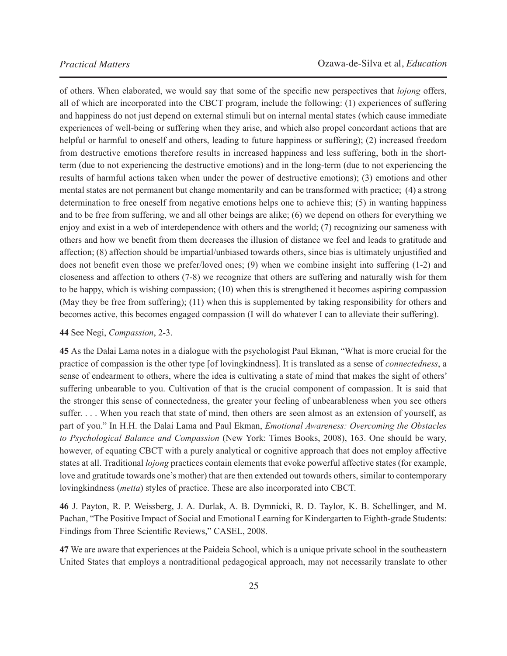of others. When elaborated, we would say that some of the specific new perspectives that *lojong* offers, all of which are incorporated into the CBCT program, include the following: (1) experiences of suffering and happiness do not just depend on external stimuli but on internal mental states (which cause immediate experiences of well-being or suffering when they arise, and which also propel concordant actions that are helpful or harmful to oneself and others, leading to future happiness or suffering); (2) increased freedom from destructive emotions therefore results in increased happiness and less suffering, both in the shortterm (due to not experiencing the destructive emotions) and in the long-term (due to not experiencing the results of harmful actions taken when under the power of destructive emotions); (3) emotions and other mental states are not permanent but change momentarily and can be transformed with practice; (4) a strong determination to free oneself from negative emotions helps one to achieve this; (5) in wanting happiness and to be free from suffering, we and all other beings are alike; (6) we depend on others for everything we enjoy and exist in a web of interdependence with others and the world; (7) recognizing our sameness with others and how we benefit from them decreases the illusion of distance we feel and leads to gratitude and affection; (8) affection should be impartial/unbiased towards others, since bias is ultimately unjustified and does not benefit even those we prefer/loved ones; (9) when we combine insight into suffering (1-2) and closeness and affection to others (7-8) we recognize that others are suffering and naturally wish for them to be happy, which is wishing compassion; (10) when this is strengthened it becomes aspiring compassion (May they be free from suffering); (11) when this is supplemented by taking responsibility for others and becomes active, this becomes engaged compassion (I will do whatever I can to alleviate their suffering).

#### **44** See Negi, *Compassion*, 2-3.

**45** As the Dalai Lama notes in a dialogue with the psychologist Paul Ekman, "What is more crucial for the practice of compassion is the other type [of lovingkindness]. It is translated as a sense of *connectedness*, a sense of endearment to others, where the idea is cultivating a state of mind that makes the sight of others' suffering unbearable to you. Cultivation of that is the crucial component of compassion. It is said that the stronger this sense of connectedness, the greater your feeling of unbearableness when you see others suffer. . . . When you reach that state of mind, then others are seen almost as an extension of yourself, as part of you." In H.H. the Dalai Lama and Paul Ekman, *Emotional Awareness: Overcoming the Obstacles to Psychological Balance and Compassion* (New York: Times Books, 2008), 163. One should be wary, however, of equating CBCT with a purely analytical or cognitive approach that does not employ affective states at all. Traditional *lojong* practices contain elements that evoke powerful affective states (for example, love and gratitude towards one's mother) that are then extended out towards others, similar to contemporary lovingkindness (*metta*) styles of practice. These are also incorporated into CBCT.

**46** J. Payton, R. P. Weissberg, J. A. Durlak, A. B. Dymnicki, R. D. Taylor, K. B. Schellinger, and M. Pachan, "The Positive Impact of Social and Emotional Learning for Kindergarten to Eighth-grade Students: Findings from Three Scientific Reviews," CASEL, 2008.

**47** We are aware that experiences at the Paideia School, which is a unique private school in the southeastern United States that employs a nontraditional pedagogical approach, may not necessarily translate to other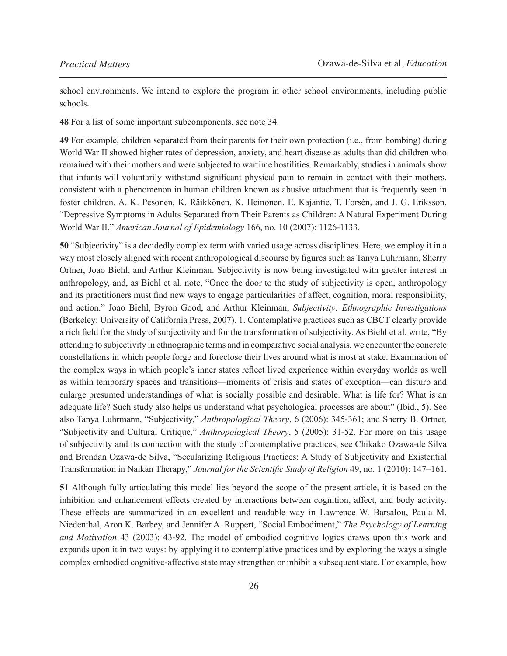school environments. We intend to explore the program in other school environments, including public schools.

**48** For a list of some important subcomponents, see note 34.

**49** For example, children separated from their parents for their own protection (i.e., from bombing) during World War II showed higher rates of depression, anxiety, and heart disease as adults than did children who remained with their mothers and were subjected to wartime hostilities. Remarkably, studies in animals show that infants will voluntarily withstand significant physical pain to remain in contact with their mothers, consistent with a phenomenon in human children known as abusive attachment that is frequently seen in foster children. A. K. Pesonen, K. Räikkönen, K. Heinonen, E. Kajantie, T. Forsén, and J. G. Eriksson, "Depressive Symptoms in Adults Separated from Their Parents as Children: A Natural Experiment During World War II," *American Journal of Epidemiology* 166, no. 10 (2007): 1126-1133.

**50** "Subjectivity" is a decidedly complex term with varied usage across disciplines. Here, we employ it in a way most closely aligned with recent anthropological discourse by figures such as Tanya Luhrmann, Sherry Ortner, Joao Biehl, and Arthur Kleinman. Subjectivity is now being investigated with greater interest in anthropology, and, as Biehl et al. note, "Once the door to the study of subjectivity is open, anthropology and its practitioners must find new ways to engage particularities of affect, cognition, moral responsibility, and action." Joao Biehl, Byron Good, and Arthur Kleinman, *Subjectivity: Ethnographic Investigations* (Berkeley: University of California Press, 2007), 1. Contemplative practices such as CBCT clearly provide a rich field for the study of subjectivity and for the transformation of subjectivity. As Biehl et al. write, "By attending to subjectivity in ethnographic terms and in comparative social analysis, we encounter the concrete constellations in which people forge and foreclose their lives around what is most at stake. Examination of the complex ways in which people's inner states reflect lived experience within everyday worlds as well as within temporary spaces and transitions—moments of crisis and states of exception—can disturb and enlarge presumed understandings of what is socially possible and desirable. What is life for? What is an adequate life? Such study also helps us understand what psychological processes are about" (Ibid., 5). See also Tanya Luhrmann, "Subjectivity," *Anthropological Theory*, 6 (2006): 345-361; and Sherry B. Ortner, "Subjectivity and Cultural Critique," *Anthropological Theory*, 5 (2005): 31-52. For more on this usage of subjectivity and its connection with the study of contemplative practices, see Chikako Ozawa-de Silva and Brendan Ozawa-de Silva, "Secularizing Religious Practices: A Study of Subjectivity and Existential Transformation in Naikan Therapy," *Journal for the Scientific Study of Religion* 49, no. 1 (2010): 147–161.

**51** Although fully articulating this model lies beyond the scope of the present article, it is based on the inhibition and enhancement effects created by interactions between cognition, affect, and body activity. These effects are summarized in an excellent and readable way in Lawrence W. Barsalou, Paula M. Niedenthal, Aron K. Barbey, and Jennifer A. Ruppert, "Social Embodiment," *The Psychology of Learning and Motivation* 43 (2003): 43-92. The model of embodied cognitive logics draws upon this work and expands upon it in two ways: by applying it to contemplative practices and by exploring the ways a single complex embodied cognitive-affective state may strengthen or inhibit a subsequent state. For example, how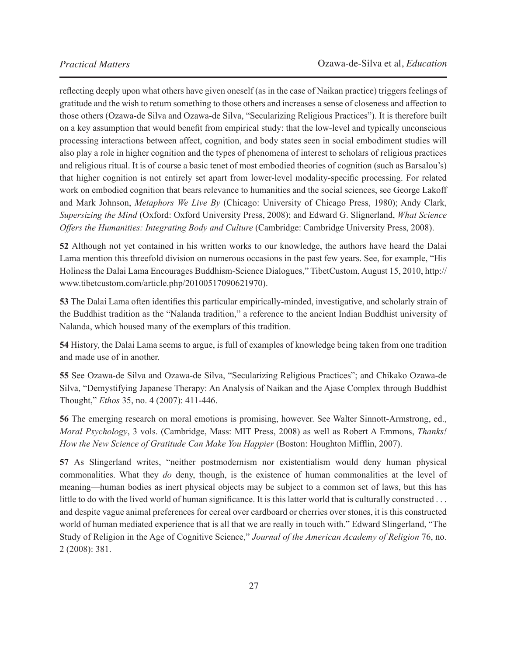reflecting deeply upon what others have given oneself (as in the case of Naikan practice) triggers feelings of gratitude and the wish to return something to those others and increases a sense of closeness and affection to those others (Ozawa-de Silva and Ozawa-de Silva, "Secularizing Religious Practices"). It is therefore built on a key assumption that would benefit from empirical study: that the low-level and typically unconscious processing interactions between affect, cognition, and body states seen in social embodiment studies will also play a role in higher cognition and the types of phenomena of interest to scholars of religious practices and religious ritual. It is of course a basic tenet of most embodied theories of cognition (such as Barsalou's) that higher cognition is not entirely set apart from lower-level modality-specific processing. For related work on embodied cognition that bears relevance to humanities and the social sciences, see George Lakoff and Mark Johnson, *Metaphors We Live By* (Chicago: University of Chicago Press, 1980); Andy Clark, *Supersizing the Mind* (Oxford: Oxford University Press, 2008); and Edward G. Slignerland, *What Science Offers the Humanities: Integrating Body and Culture* (Cambridge: Cambridge University Press, 2008).

**52** Although not yet contained in his written works to our knowledge, the authors have heard the Dalai Lama mention this threefold division on numerous occasions in the past few years. See, for example, "His Holiness the Dalai Lama Encourages Buddhism-Science Dialogues," TibetCustom, August 15, 2010, http:// www.tibetcustom.com/article.php/20100517090621970).

**53** The Dalai Lama often identifies this particular empirically-minded, investigative, and scholarly strain of the Buddhist tradition as the "Nalanda tradition," a reference to the ancient Indian Buddhist university of Nalanda, which housed many of the exemplars of this tradition.

**54** History, the Dalai Lama seems to argue, is full of examples of knowledge being taken from one tradition and made use of in another.

**55** See Ozawa-de Silva and Ozawa-de Silva, "Secularizing Religious Practices"; and Chikako Ozawa-de Silva, "Demystifying Japanese Therapy: An Analysis of Naikan and the Ajase Complex through Buddhist Thought," *Ethos* 35, no. 4 (2007): 411-446.

**56** The emerging research on moral emotions is promising, however. See Walter Sinnott-Armstrong, ed., *Moral Psychology*, 3 vols. (Cambridge, Mass: MIT Press, 2008) as well as Robert A Emmons, *Thanks! How the New Science of Gratitude Can Make You Happier* (Boston: Houghton Mifflin, 2007).

**57** As Slingerland writes, "neither postmodernism nor existentialism would deny human physical commonalities. What they *do* deny, though, is the existence of human commonalities at the level of meaning—human bodies as inert physical objects may be subject to a common set of laws, but this has little to do with the lived world of human significance. It is this latter world that is culturally constructed . . . and despite vague animal preferences for cereal over cardboard or cherries over stones, it is this constructed world of human mediated experience that is all that we are really in touch with." Edward Slingerland, "The Study of Religion in the Age of Cognitive Science," *Journal of the American Academy of Religion* 76, no. 2 (2008): 381.